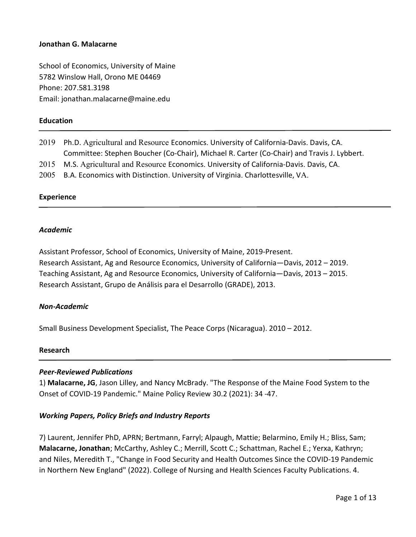School of Economics, University of Maine 5782 Winslow Hall, Orono ME 04469 Phone: 207.581.3198 Email: jonathan.malacarne@maine.edu

## **Education**

| 2019 | Ph.D. Agricultural and Resource Economics. University of California-Davis. Davis, CA.      |
|------|--------------------------------------------------------------------------------------------|
|      | Committee: Stephen Boucher (Co-Chair), Michael R. Carter (Co-Chair) and Travis J. Lybbert. |
| 2015 | M.S. Agricultural and Resource Economics. University of California-Davis. Davis, CA.       |
| 2005 | B.A. Economics with Distinction. University of Virginia. Charlottesville, VA.              |
|      |                                                                                            |

#### Experience

#### Academic

Assistant Professor, School of Economics, University of Maine, 2019-Present. Research Assistant, Ag and Resource Economics, University of California—Davis, 2012 – 2019. Teaching Assistant, Ag and Resource Economics, University of California—Davis, 2013 – 2015. Research Assistant, Grupo de Análisis para el Desarrollo (GRADE), 2013.

#### Non-Academic

Small Business Development Specialist, The Peace Corps (Nicaragua). 2010 – 2012.

#### Research

## Peer-Reviewed Publications

1) Malacarne, JG, Jason Lilley, and Nancy McBrady. "The Response of the Maine Food System to the Onset of COVID-19 Pandemic." Maine Policy Review 30.2 (2021): 34 -47.

#### Working Papers, Policy Briefs and Industry Reports

7) Laurent, Jennifer PhD, APRN; Bertmann, Farryl; Alpaugh, Mattie; Belarmino, Emily H.; Bliss, Sam; Malacarne, Jonathan; McCarthy, Ashley C.; Merrill, Scott C.; Schattman, Rachel E.; Yerxa, Kathryn; and Niles, Meredith T., "Change in Food Security and Health Outcomes Since the COVID-19 Pandemic in Northern New England" (2022). College of Nursing and Health Sciences Faculty Publications. 4.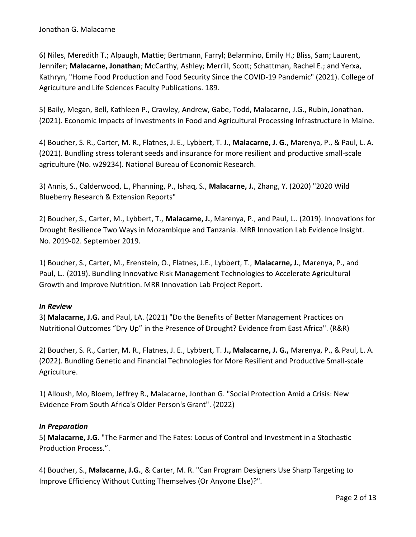6) Niles, Meredith T.; Alpaugh, Mattie; Bertmann, Farryl; Belarmino, Emily H.; Bliss, Sam; Laurent, Jennifer; Malacarne, Jonathan; McCarthy, Ashley; Merrill, Scott; Schattman, Rachel E.; and Yerxa, Kathryn, "Home Food Production and Food Security Since the COVID-19 Pandemic" (2021). College of Agriculture and Life Sciences Faculty Publications. 189.

5) Baily, Megan, Bell, Kathleen P., Crawley, Andrew, Gabe, Todd, Malacarne, J.G., Rubin, Jonathan. (2021). Economic Impacts of Investments in Food and Agricultural Processing Infrastructure in Maine.

4) Boucher, S. R., Carter, M. R., Flatnes, J. E., Lybbert, T. J., Malacarne, J. G., Marenya, P., & Paul, L. A. (2021). Bundling stress tolerant seeds and insurance for more resilient and productive small-scale agriculture (No. w29234). National Bureau of Economic Research.

3) Annis, S., Calderwood, L., Phanning, P., Ishaq, S., Malacarne, J., Zhang, Y. (2020) "2020 Wild Blueberry Research & Extension Reports"

2) Boucher, S., Carter, M., Lybbert, T., Malacarne, J., Marenya, P., and Paul, L.. (2019). Innovations for Drought Resilience Two Ways in Mozambique and Tanzania. MRR Innovation Lab Evidence Insight. No. 2019-02. September 2019.

1) Boucher, S., Carter, M., Erenstein, O., Flatnes, J.E., Lybbert, T., Malacarne, J., Marenya, P., and Paul, L.. (2019). Bundling Innovative Risk Management Technologies to Accelerate Agricultural Growth and Improve Nutrition. MRR Innovation Lab Project Report.

## In Review

3) Malacarne, J.G. and Paul, LA. (2021) "Do the Benefits of Better Management Practices on Nutritional Outcomes "Dry Up" in the Presence of Drought? Evidence from East Africa". (R&R)

2) Boucher, S. R., Carter, M. R., Flatnes, J. E., Lybbert, T. J., Malacarne, J. G., Marenya, P., & Paul, L. A. (2022). Bundling Genetic and Financial Technologies for More Resilient and Productive Small-scale Agriculture.

1) Alloush, Mo, Bloem, Jeffrey R., Malacarne, Jonthan G. "Social Protection Amid a Crisis: New Evidence From South Africa's Older Person's Grant". (2022)

## In Preparation

5) Malacarne, J.G. "The Farmer and The Fates: Locus of Control and Investment in a Stochastic Production Process.".

4) Boucher, S., Malacarne, J.G., & Carter, M. R. "Can Program Designers Use Sharp Targeting to Improve Efficiency Without Cutting Themselves (Or Anyone Else)?".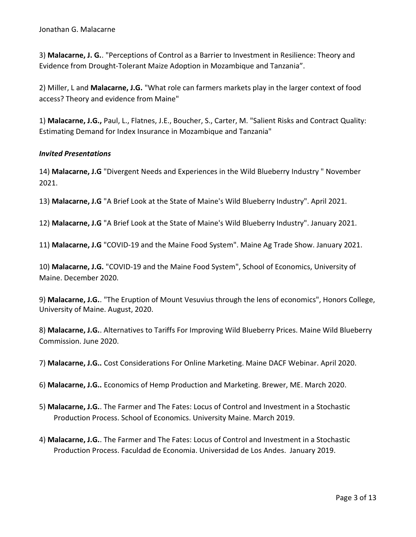3) Malacarne, J. G.. "Perceptions of Control as a Barrier to Investment in Resilience: Theory and Evidence from Drought-Tolerant Maize Adoption in Mozambique and Tanzania".

2) Miller, L and Malacarne, J.G. "What role can farmers markets play in the larger context of food access? Theory and evidence from Maine"

1) Malacarne, J.G., Paul, L., Flatnes, J.E., Boucher, S., Carter, M. "Salient Risks and Contract Quality: Estimating Demand for Index Insurance in Mozambique and Tanzania"

# Invited Presentations

14) Malacarne, J.G "Divergent Needs and Experiences in the Wild Blueberry Industry " November 2021.

13) Malacarne, J.G "A Brief Look at the State of Maine's Wild Blueberry Industry". April 2021.

12) Malacarne, J.G "A Brief Look at the State of Maine's Wild Blueberry Industry". January 2021.

11) Malacarne, J.G "COVID-19 and the Maine Food System". Maine Ag Trade Show. January 2021.

10) Malacarne, J.G. "COVID-19 and the Maine Food System", School of Economics, University of Maine. December 2020.

9) Malacarne, J.G.. "The Eruption of Mount Vesuvius through the lens of economics", Honors College, University of Maine. August, 2020.

8) Malacarne, J.G.. Alternatives to Tariffs For Improving Wild Blueberry Prices. Maine Wild Blueberry Commission. June 2020.

7) Malacarne, J.G.. Cost Considerations For Online Marketing. Maine DACF Webinar. April 2020.

6) Malacarne, J.G.. Economics of Hemp Production and Marketing. Brewer, ME. March 2020.

- 5) Malacarne, J.G.. The Farmer and The Fates: Locus of Control and Investment in a Stochastic Production Process. School of Economics. University Maine. March 2019.
- 4) Malacarne, J.G.. The Farmer and The Fates: Locus of Control and Investment in a Stochastic Production Process. Faculdad de Economia. Universidad de Los Andes. January 2019.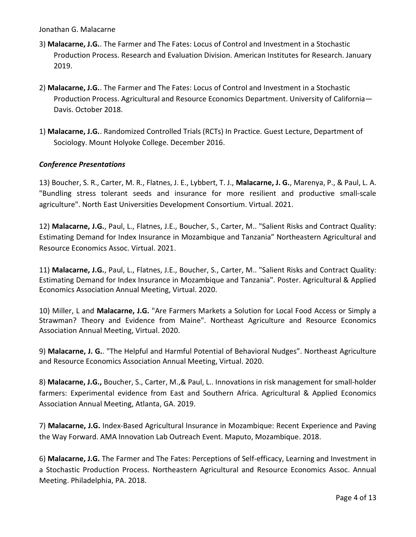- 3) Malacarne, J.G.. The Farmer and The Fates: Locus of Control and Investment in a Stochastic Production Process. Research and Evaluation Division. American Institutes for Research. January 2019.
- 2) Malacarne, J.G.. The Farmer and The Fates: Locus of Control and Investment in a Stochastic Production Process. Agricultural and Resource Economics Department. University of California— Davis. October 2018.
- 1) Malacarne, J.G.. Randomized Controlled Trials (RCTs) In Practice. Guest Lecture, Department of Sociology. Mount Holyoke College. December 2016.

# Conference Presentations

13) Boucher, S. R., Carter, M. R., Flatnes, J. E., Lybbert, T. J., Malacarne, J. G., Marenya, P., & Paul, L. A. "Bundling stress tolerant seeds and insurance for more resilient and productive small-scale agriculture". North East Universities Development Consortium. Virtual. 2021.

12) Malacarne, J.G., Paul, L., Flatnes, J.E., Boucher, S., Carter, M.. "Salient Risks and Contract Quality: Estimating Demand for Index Insurance in Mozambique and Tanzania" Northeastern Agricultural and Resource Economics Assoc. Virtual. 2021.

11) Malacarne, J.G., Paul, L., Flatnes, J.E., Boucher, S., Carter, M.. "Salient Risks and Contract Quality: Estimating Demand for Index Insurance in Mozambique and Tanzania". Poster. Agricultural & Applied Economics Association Annual Meeting, Virtual. 2020.

10) Miller, L and Malacarne, J.G. "Are Farmers Markets a Solution for Local Food Access or Simply a Strawman? Theory and Evidence from Maine". Northeast Agriculture and Resource Economics Association Annual Meeting, Virtual. 2020.

9) Malacarne, J. G.. "The Helpful and Harmful Potential of Behavioral Nudges". Northeast Agriculture and Resource Economics Association Annual Meeting, Virtual. 2020.

8) Malacarne, J.G., Boucher, S., Carter, M.,& Paul, L.. Innovations in risk management for small-holder farmers: Experimental evidence from East and Southern Africa. Agricultural & Applied Economics Association Annual Meeting, Atlanta, GA. 2019.

7) Malacarne, J.G. Index-Based Agricultural Insurance in Mozambique: Recent Experience and Paving the Way Forward. AMA Innovation Lab Outreach Event. Maputo, Mozambique. 2018.

6) Malacarne, J.G. The Farmer and The Fates: Perceptions of Self-efficacy, Learning and Investment in a Stochastic Production Process. Northeastern Agricultural and Resource Economics Assoc. Annual Meeting. Philadelphia, PA. 2018.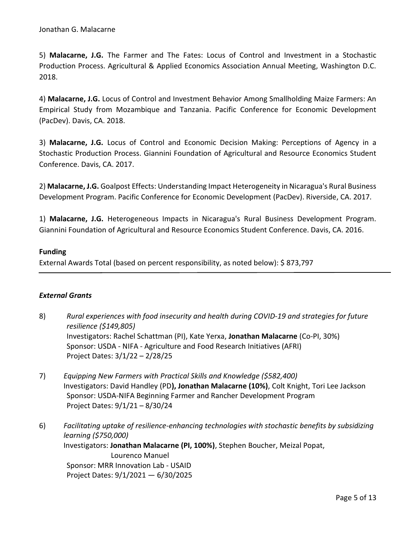5) Malacarne, J.G. The Farmer and The Fates: Locus of Control and Investment in a Stochastic Production Process. Agricultural & Applied Economics Association Annual Meeting, Washington D.C. 2018.

4) Malacarne, J.G. Locus of Control and Investment Behavior Among Smallholding Maize Farmers: An Empirical Study from Mozambique and Tanzania. Pacific Conference for Economic Development (PacDev). Davis, CA. 2018.

3) Malacarne, J.G. Locus of Control and Economic Decision Making: Perceptions of Agency in a Stochastic Production Process. Giannini Foundation of Agricultural and Resource Economics Student Conference. Davis, CA. 2017.

2) Malacarne, J.G. Goalpost Effects: Understanding Impact Heterogeneity in Nicaragua's Rural Business Development Program. Pacific Conference for Economic Development (PacDev). Riverside, CA. 2017.

1) Malacarne, J.G. Heterogeneous Impacts in Nicaragua's Rural Business Development Program. Giannini Foundation of Agricultural and Resource Economics Student Conference. Davis, CA. 2016.

# Funding

External Awards Total (based on percent responsibility, as noted below): \$ 873,797

## External Grants

- 8) Rural experiences with food insecurity and health during COVID-19 and strategies for future resilience (\$149,805) Investigators: Rachel Schattman (PI), Kate Yerxa, Jonathan Malacarne (Co-PI, 30%) Sponsor: USDA - NIFA - Agriculture and Food Research Initiatives (AFRI) Project Dates: 3/1/22 – 2/28/25
- 7) Equipping New Farmers with Practical Skills and Knowledge (\$582,400) Investigators: David Handley (PD), Jonathan Malacarne (10%), Colt Knight, Tori Lee Jackson Sponsor: USDA-NIFA Beginning Farmer and Rancher Development Program Project Dates: 9/1/21 – 8/30/24
- 6) Facilitating uptake of resilience-enhancing technologies with stochastic benefits by subsidizing learning (\$750,000) Investigators: Jonathan Malacarne (PI, 100%), Stephen Boucher, Meizal Popat, Lourenco Manuel Sponsor: MRR Innovation Lab - USAID Project Dates: 9/1/2021 — 6/30/2025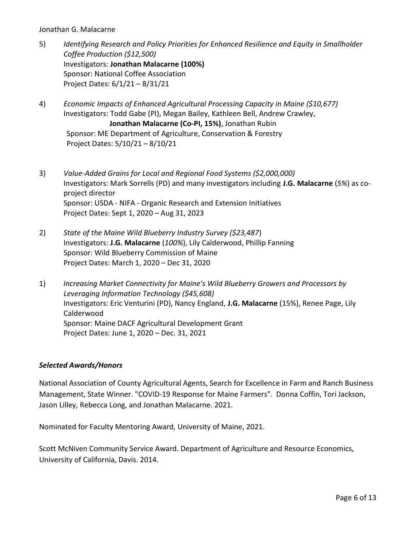- 5) Identifying Research and Policy Priorities for Enhanced Resilience and Equity in Smallholder Coffee Production (\$12,500) Investigators: Jonathan Malacarne (100%) Sponsor: National Coffee Association Project Dates: 6/1/21 – 8/31/21
- 4) Economic Impacts of Enhanced Agricultural Processing Capacity in Maine (\$10,677) Investigators: Todd Gabe (PI), Megan Bailey, Kathleen Bell, Andrew Crawley, Jonathan Malacarne (Co-PI, 15%), Jonathan Rubin Sponsor: ME Department of Agriculture, Conservation & Forestry Project Dates: 5/10/21 – 8/10/21
- 3) Value-Added Grains for Local and Regional Food Systems (\$2,000,000) Investigators: Mark Sorrells (PD) and many investigators including J.G. Malacarne (5%) as coproject director Sponsor: USDA - NIFA - Organic Research and Extension Initiatives Project Dates: Sept 1, 2020 – Aug 31, 2023
- 2) State of the Maine Wild Blueberry Industry Survey (\$23,487) Investigators: J.G. Malacarne (100%), Lily Calderwood, Phillip Fanning Sponsor: Wild Blueberry Commission of Maine Project Dates: March 1, 2020 – Dec 31, 2020
- 1) Increasing Market Connectivity for Maine's Wild Blueberry Growers and Processors by Leveraging Information Technology (\$45,608) Investigators: Eric Venturini (PD), Nancy England, J.G. Malacarne (15%), Renee Page, Lily Calderwood Sponsor: Maine DACF Agricultural Development Grant Project Dates: June 1, 2020 – Dec. 31, 2021

# Selected Awards/Honors

National Association of County Agricultural Agents, Search for Excellence in Farm and Ranch Business Management, State Winner. "COVID-19 Response for Maine Farmers". Donna Coffin, Tori Jackson, Jason Lilley, Rebecca Long, and Jonathan Malacarne. 2021.

Nominated for Faculty Mentoring Award, University of Maine, 2021.

Scott McNiven Community Service Award. Department of Agriculture and Resource Economics, University of California, Davis. 2014.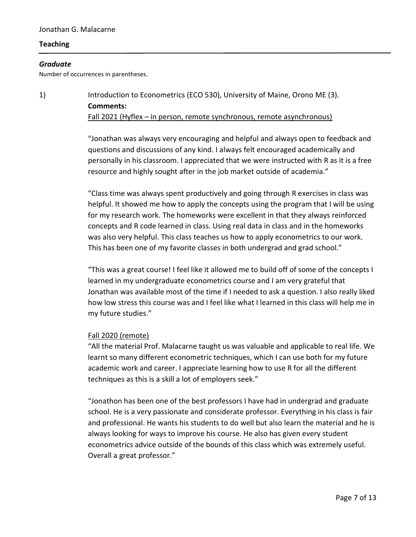## **Teaching**

# Graduate

Number of occurrences in parentheses.

1) Introduction to Econometrics (ECO 530), University of Maine, Orono ME (3). Comments: Fall 2021 (Hyflex – in person, remote synchronous, remote asynchronous)

> "Jonathan was always very encouraging and helpful and always open to feedback and questions and discussions of any kind. I always felt encouraged academically and personally in his classroom. I appreciated that we were instructed with R as it is a free resource and highly sought after in the job market outside of academia."

"Class time was always spent productively and going through R exercises in class was helpful. It showed me how to apply the concepts using the program that I will be using for my research work. The homeworks were excellent in that they always reinforced concepts and R code learned in class. Using real data in class and in the homeworks was also very helpful. This class teaches us how to apply econometrics to our work. This has been one of my favorite classes in both undergrad and grad school."

"This was a great course! I feel like it allowed me to build off of some of the concepts I learned in my undergraduate econometrics course and I am very grateful that Jonathan was available most of the time if I needed to ask a question. I also really liked how low stress this course was and I feel like what I learned in this class will help me in my future studies."

#### Fall 2020 (remote)

"All the material Prof. Malacarne taught us was valuable and applicable to real life. We learnt so many different econometric techniques, which I can use both for my future academic work and career. I appreciate learning how to use R for all the different techniques as this is a skill a lot of employers seek."

"Jonathon has been one of the best professors I have had in undergrad and graduate school. He is a very passionate and considerate professor. Everything in his class is fair and professional. He wants his students to do well but also learn the material and he is always looking for ways to improve his course. He also has given every student econometrics advice outside of the bounds of this class which was extremely useful. Overall a great professor."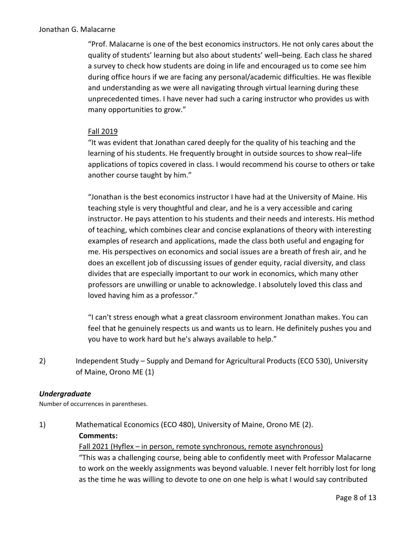"Prof. Malacarne is one of the best economics instructors. He not only cares about the quality of students' learning but also about students' well–being. Each class he shared a survey to check how students are doing in life and encouraged us to come see him during office hours if we are facing any personal/academic difficulties. He was flexible and understanding as we were all navigating through virtual learning during these unprecedented times. I have never had such a caring instructor who provides us with many opportunities to grow."

## Fall 2019

"It was evident that Jonathan cared deeply for the quality of his teaching and the learning of his students. He frequently brought in outside sources to show real–life applications of topics covered in class. I would recommend his course to others or take another course taught by him."

"Jonathan is the best economics instructor I have had at the University of Maine. His teaching style is very thoughtful and clear, and he is a very accessible and caring instructor. He pays attention to his students and their needs and interests. His method of teaching, which combines clear and concise explanations of theory with interesting examples of research and applications, made the class both useful and engaging for me. His perspectives on economics and social issues are a breath of fresh air, and he does an excellent job of discussing issues of gender equity, racial diversity, and class divides that are especially important to our work in economics, which many other professors are unwilling or unable to acknowledge. I absolutely loved this class and loved having him as a professor."

"I can't stress enough what a great classroom environment Jonathan makes. You can feel that he genuinely respects us and wants us to learn. He definitely pushes you and you have to work hard but he's always available to help."

2) Independent Study – Supply and Demand for Agricultural Products (ECO 530), University of Maine, Orono ME (1)

## Undergraduate

Number of occurrences in parentheses.

1) Mathematical Economics (ECO 480), University of Maine, Orono ME (2).

#### Comments:

## Fall 2021 (Hyflex – in person, remote synchronous, remote asynchronous)

"This was a challenging course, being able to confidently meet with Professor Malacarne to work on the weekly assignments was beyond valuable. I never felt horribly lost for long as the time he was willing to devote to one on one help is what I would say contributed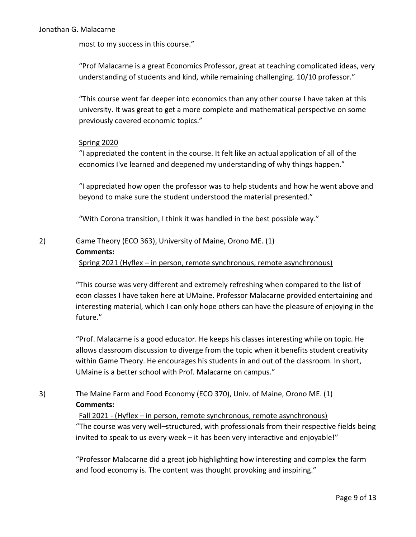most to my success in this course."

"Prof Malacarne is a great Economics Professor, great at teaching complicated ideas, very understanding of students and kind, while remaining challenging. 10/10 professor."

"This course went far deeper into economics than any other course I have taken at this university. It was great to get a more complete and mathematical perspective on some previously covered economic topics."

## Spring 2020

"I appreciated the content in the course. It felt like an actual application of all of the economics I've learned and deepened my understanding of why things happen."

"I appreciated how open the professor was to help students and how he went above and beyond to make sure the student understood the material presented."

"With Corona transition, I think it was handled in the best possible way."

# 2) Game Theory (ECO 363), University of Maine, Orono ME. (1) Comments:

Spring 2021 (Hyflex – in person, remote synchronous, remote asynchronous)

"This course was very different and extremely refreshing when compared to the list of econ classes I have taken here at UMaine. Professor Malacarne provided entertaining and interesting material, which I can only hope others can have the pleasure of enjoying in the future."

"Prof. Malacarne is a good educator. He keeps his classes interesting while on topic. He allows classroom discussion to diverge from the topic when it benefits student creativity within Game Theory. He encourages his students in and out of the classroom. In short, UMaine is a better school with Prof. Malacarne on campus."

# 3) The Maine Farm and Food Economy (ECO 370), Univ. of Maine, Orono ME. (1) Comments:

Fall 2021 - (Hyflex – in person, remote synchronous, remote asynchronous) "The course was very well–structured, with professionals from their respective fields being invited to speak to us every week – it has been very interactive and enjoyable!"

"Professor Malacarne did a great job highlighting how interesting and complex the farm and food economy is. The content was thought provoking and inspiring."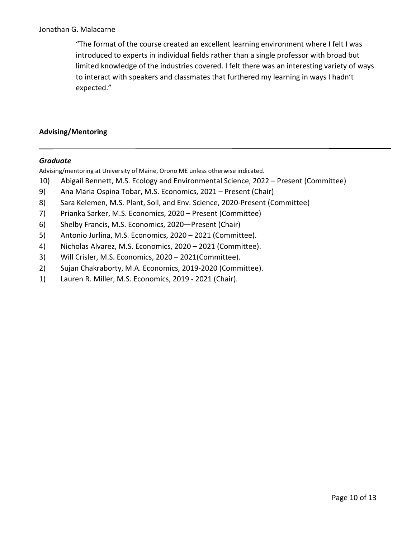"The format of the course created an excellent learning environment where I felt I was introduced to experts in individual fields rather than a single professor with broad but limited knowledge of the industries covered. I felt there was an interesting variety of ways to interact with speakers and classmates that furthered my learning in ways I hadn't expected."

## Advising/Mentoring

## Graduate

Advising/mentoring at University of Maine, Orono ME unless otherwise indicated.

- 10) Abigail Bennett, M.S. Ecology and Environmental Science, 2022 Present (Committee)
- 9) Ana Maria Ospina Tobar, M.S. Economics, 2021 Present (Chair)
- 8) Sara Kelemen, M.S. Plant, Soil, and Env. Science, 2020-Present (Committee)
- 7) Prianka Sarker, M.S. Economics, 2020 Present (Committee)
- 6) Shelby Francis, M.S. Economics, 2020—Present (Chair)
- 5) Antonio Jurlina, M.S. Economics, 2020 2021 (Committee).
- 4) Nicholas Alvarez, M.S. Economics, 2020 2021 (Committee).
- 3) Will Crisler, M.S. Economics, 2020 2021(Committee).
- 2) Sujan Chakraborty, M.A. Economics, 2019-2020 (Committee).
- 1) Lauren R. Miller, M.S. Economics, 2019 2021 (Chair).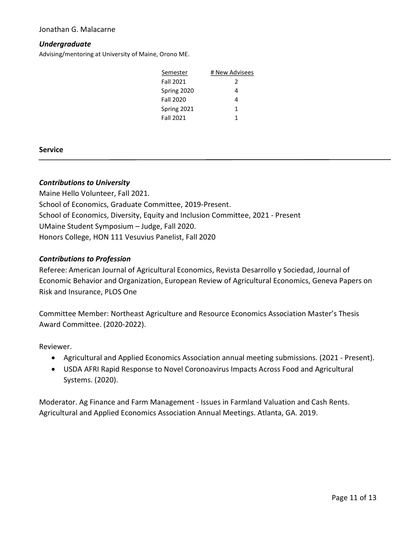## Undergraduate

Advising/mentoring at University of Maine, Orono ME.

| Semester         | # New Advisees |
|------------------|----------------|
| <b>Fall 2021</b> | 2              |
| Spring 2020      | 4              |
| <b>Fall 2020</b> | 4              |
| Spring 2021      | 1              |
| <b>Fall 2021</b> | 1              |

#### Service

#### Contributions to University

Maine Hello Volunteer, Fall 2021. School of Economics, Graduate Committee, 2019-Present. School of Economics, Diversity, Equity and Inclusion Committee, 2021 - Present UMaine Student Symposium – Judge, Fall 2020. Honors College, HON 111 Vesuvius Panelist, Fall 2020

#### Contributions to Profession

Referee: American Journal of Agricultural Economics, Revista Desarrollo y Sociedad, Journal of Economic Behavior and Organization, European Review of Agricultural Economics, Geneva Papers on Risk and Insurance, PLOS One

Committee Member: Northeast Agriculture and Resource Economics Association Master's Thesis Award Committee. (2020-2022).

#### Reviewer.

- Agricultural and Applied Economics Association annual meeting submissions. (2021 Present).
- USDA AFRI Rapid Response to Novel Coronoavirus Impacts Across Food and Agricultural Systems. (2020).

Moderator. Ag Finance and Farm Management - Issues in Farmland Valuation and Cash Rents. Agricultural and Applied Economics Association Annual Meetings. Atlanta, GA. 2019.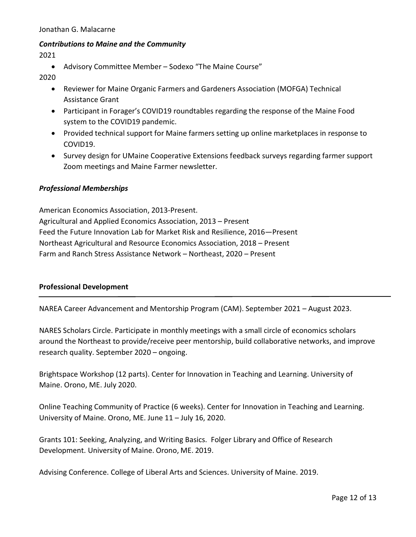## Contributions to Maine and the Community

2021

Advisory Committee Member – Sodexo "The Maine Course"

2020

- Reviewer for Maine Organic Farmers and Gardeners Association (MOFGA) Technical Assistance Grant
- Participant in Forager's COVID19 roundtables regarding the response of the Maine Food system to the COVID19 pandemic.
- Provided technical support for Maine farmers setting up online marketplaces in response to COVID19.
- Survey design for UMaine Cooperative Extensions feedback surveys regarding farmer support Zoom meetings and Maine Farmer newsletter.

## Professional Memberships

American Economics Association, 2013-Present. Agricultural and Applied Economics Association, 2013 – Present Feed the Future Innovation Lab for Market Risk and Resilience, 2016—Present Northeast Agricultural and Resource Economics Association, 2018 – Present Farm and Ranch Stress Assistance Network – Northeast, 2020 – Present

## Professional Development

NAREA Career Advancement and Mentorship Program (CAM). September 2021 – August 2023.

NARES Scholars Circle. Participate in monthly meetings with a small circle of economics scholars around the Northeast to provide/receive peer mentorship, build collaborative networks, and improve research quality. September 2020 – ongoing.

Brightspace Workshop (12 parts). Center for Innovation in Teaching and Learning. University of Maine. Orono, ME. July 2020.

Online Teaching Community of Practice (6 weeks). Center for Innovation in Teaching and Learning. University of Maine. Orono, ME. June 11 – July 16, 2020.

Grants 101: Seeking, Analyzing, and Writing Basics. Folger Library and Office of Research Development. University of Maine. Orono, ME. 2019.

Advising Conference. College of Liberal Arts and Sciences. University of Maine. 2019.